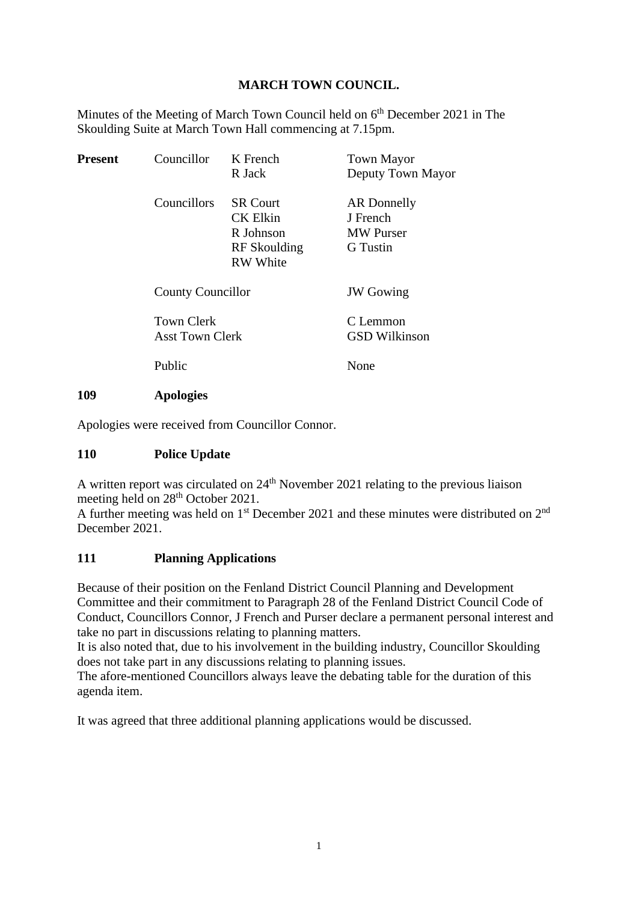### **MARCH TOWN COUNCIL.**

Minutes of the Meeting of March Town Council held on  $6<sup>th</sup>$  December 2021 in The Skoulding Suite at March Town Hall commencing at 7.15pm.

| <b>Present</b> | Councillor                                  | K French<br>R Jack                                                                 | <b>Town Mayor</b><br>Deputy Town Mayor                                |
|----------------|---------------------------------------------|------------------------------------------------------------------------------------|-----------------------------------------------------------------------|
|                | Councillors                                 | <b>SR Court</b><br><b>CK Elkin</b><br>R Johnson<br>RF Skoulding<br><b>RW</b> White | <b>AR</b> Donnelly<br>J French<br><b>MW</b> Purser<br><b>G</b> Tustin |
|                | <b>County Councillor</b>                    |                                                                                    | <b>JW</b> Gowing                                                      |
|                | <b>Town Clerk</b><br><b>Asst Town Clerk</b> |                                                                                    | C Lemmon<br><b>GSD Wilkinson</b>                                      |
|                | Public                                      |                                                                                    | None                                                                  |
| 109            | <b>Apologies</b>                            |                                                                                    |                                                                       |

Apologies were received from Councillor Connor.

### **110 Police Update**

A written report was circulated on  $24<sup>th</sup>$  November 2021 relating to the previous liaison meeting held on 28<sup>th</sup> October 2021.

A further meeting was held on  $1<sup>st</sup>$  December 2021 and these minutes were distributed on  $2<sup>nd</sup>$ December 2021.

### **111 Planning Applications**

Because of their position on the Fenland District Council Planning and Development Committee and their commitment to Paragraph 28 of the Fenland District Council Code of Conduct, Councillors Connor, J French and Purser declare a permanent personal interest and take no part in discussions relating to planning matters.

It is also noted that, due to his involvement in the building industry, Councillor Skoulding does not take part in any discussions relating to planning issues.

The afore-mentioned Councillors always leave the debating table for the duration of this agenda item.

It was agreed that three additional planning applications would be discussed.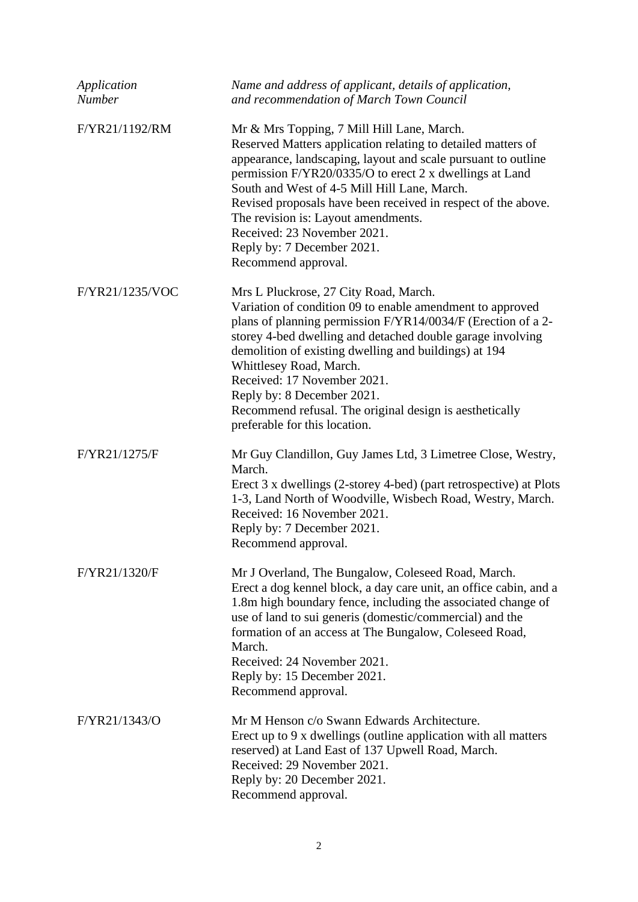| Application<br><b>Number</b> | Name and address of applicant, details of application,<br>and recommendation of March Town Council                                                                                                                                                                                                                                                                                                                                                                                 |
|------------------------------|------------------------------------------------------------------------------------------------------------------------------------------------------------------------------------------------------------------------------------------------------------------------------------------------------------------------------------------------------------------------------------------------------------------------------------------------------------------------------------|
| F/YR21/1192/RM               | Mr & Mrs Topping, 7 Mill Hill Lane, March.<br>Reserved Matters application relating to detailed matters of<br>appearance, landscaping, layout and scale pursuant to outline<br>permission F/YR20/0335/O to erect 2 x dwellings at Land<br>South and West of 4-5 Mill Hill Lane, March.<br>Revised proposals have been received in respect of the above.<br>The revision is: Layout amendments.<br>Received: 23 November 2021.<br>Reply by: 7 December 2021.<br>Recommend approval. |
| F/YR21/1235/VOC              | Mrs L Pluckrose, 27 City Road, March.<br>Variation of condition 09 to enable amendment to approved<br>plans of planning permission F/YR14/0034/F (Erection of a 2-<br>storey 4-bed dwelling and detached double garage involving<br>demolition of existing dwelling and buildings) at 194<br>Whittlesey Road, March.<br>Received: 17 November 2021.<br>Reply by: 8 December 2021.<br>Recommend refusal. The original design is aesthetically<br>preferable for this location.      |
| F/YR21/1275/F                | Mr Guy Clandillon, Guy James Ltd, 3 Limetree Close, Westry,<br>March.<br>Erect 3 x dwellings (2-storey 4-bed) (part retrospective) at Plots<br>1-3, Land North of Woodville, Wisbech Road, Westry, March.<br>Received: 16 November 2021.<br>Reply by: 7 December 2021.<br>Recommend approval.                                                                                                                                                                                      |
| F/YR21/1320/F                | Mr J Overland, The Bungalow, Coleseed Road, March.<br>Erect a dog kennel block, a day care unit, an office cabin, and a<br>1.8m high boundary fence, including the associated change of<br>use of land to sui generis (domestic/commercial) and the<br>formation of an access at The Bungalow, Coleseed Road,<br>March.<br>Received: 24 November 2021.<br>Reply by: 15 December 2021.<br>Recommend approval.                                                                       |
| F/YR21/1343/O                | Mr M Henson c/o Swann Edwards Architecture.<br>Erect up to 9 x dwellings (outline application with all matters<br>reserved) at Land East of 137 Upwell Road, March.<br>Received: 29 November 2021.<br>Reply by: 20 December 2021.<br>Recommend approval.                                                                                                                                                                                                                           |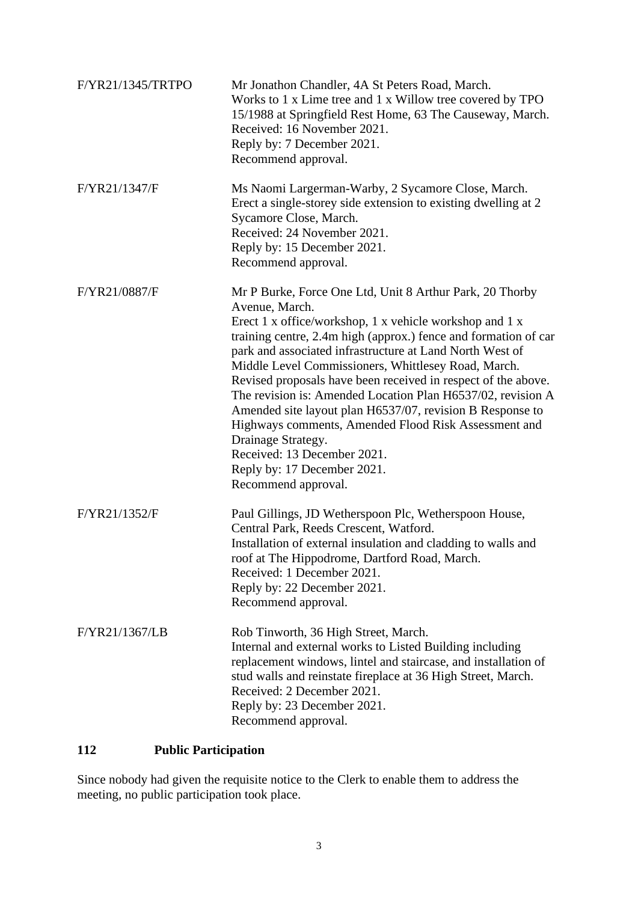| F/YR21/1345/TRTPO | Mr Jonathon Chandler, 4A St Peters Road, March.<br>Works to 1 x Lime tree and 1 x Willow tree covered by TPO<br>15/1988 at Springfield Rest Home, 63 The Causeway, March.<br>Received: 16 November 2021.<br>Reply by: 7 December 2021.<br>Recommend approval.                                                                                                                                                                                                                                                                                                                                                                                                                               |
|-------------------|---------------------------------------------------------------------------------------------------------------------------------------------------------------------------------------------------------------------------------------------------------------------------------------------------------------------------------------------------------------------------------------------------------------------------------------------------------------------------------------------------------------------------------------------------------------------------------------------------------------------------------------------------------------------------------------------|
| F/YR21/1347/F     | Ms Naomi Largerman-Warby, 2 Sycamore Close, March.<br>Erect a single-storey side extension to existing dwelling at 2<br>Sycamore Close, March.<br>Received: 24 November 2021.<br>Reply by: 15 December 2021.<br>Recommend approval.                                                                                                                                                                                                                                                                                                                                                                                                                                                         |
| F/YR21/0887/F     | Mr P Burke, Force One Ltd, Unit 8 Arthur Park, 20 Thorby<br>Avenue, March.<br>Erect 1 x office/workshop, 1 x vehicle workshop and 1 x<br>training centre, 2.4m high (approx.) fence and formation of car<br>park and associated infrastructure at Land North West of<br>Middle Level Commissioners, Whittlesey Road, March.<br>Revised proposals have been received in respect of the above.<br>The revision is: Amended Location Plan H6537/02, revision A<br>Amended site layout plan H6537/07, revision B Response to<br>Highways comments, Amended Flood Risk Assessment and<br>Drainage Strategy.<br>Received: 13 December 2021.<br>Reply by: 17 December 2021.<br>Recommend approval. |
| F/YR21/1352/F     | Paul Gillings, JD Wetherspoon Plc, Wetherspoon House,<br>Central Park, Reeds Crescent, Watford.<br>Installation of external insulation and cladding to walls and<br>roof at The Hippodrome, Dartford Road, March.<br>Received: 1 December 2021.<br>Reply by: 22 December 2021.<br>Recommend approval.                                                                                                                                                                                                                                                                                                                                                                                       |
| F/YR21/1367/LB    | Rob Tinworth, 36 High Street, March.<br>Internal and external works to Listed Building including<br>replacement windows, lintel and staircase, and installation of<br>stud walls and reinstate fireplace at 36 High Street, March.<br>Received: 2 December 2021.<br>Reply by: 23 December 2021.<br>Recommend approval.                                                                                                                                                                                                                                                                                                                                                                      |

# **112 Public Participation**

Since nobody had given the requisite notice to the Clerk to enable them to address the meeting, no public participation took place.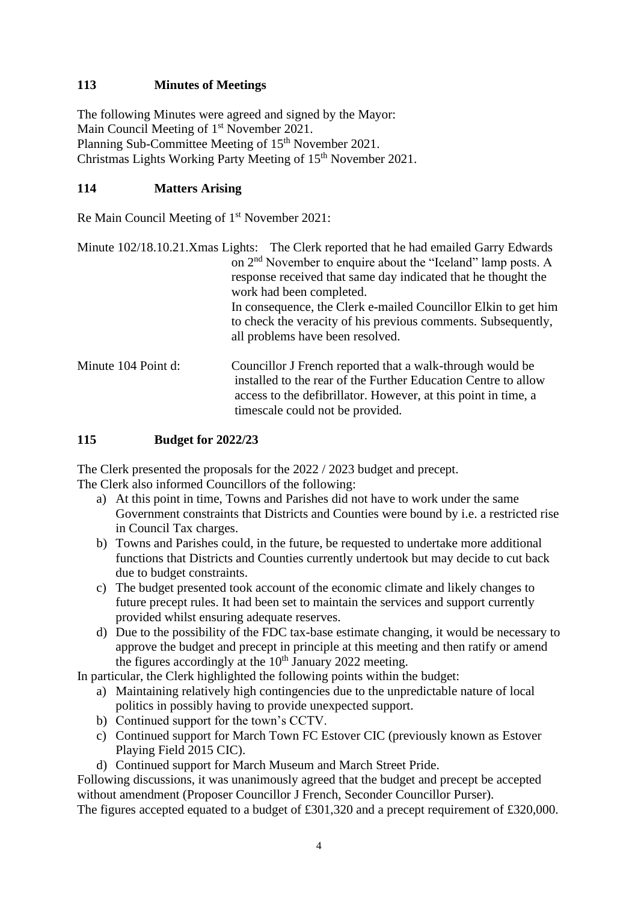### **113 Minutes of Meetings**

The following Minutes were agreed and signed by the Mayor: Main Council Meeting of 1<sup>st</sup> November 2021. Planning Sub-Committee Meeting of 15<sup>th</sup> November 2021. Christmas Lights Working Party Meeting of 15<sup>th</sup> November 2021.

### **114 Matters Arising**

Re Main Council Meeting of 1<sup>st</sup> November 2021:

|                     | Minute 102/18.10.21. Xmas Lights: The Clerk reported that he had emailed Garry Edwards<br>on 2 <sup>nd</sup> November to enquire about the "Iceland" lamp posts. A<br>response received that same day indicated that he thought the<br>work had been completed. |
|---------------------|-----------------------------------------------------------------------------------------------------------------------------------------------------------------------------------------------------------------------------------------------------------------|
|                     | In consequence, the Clerk e-mailed Councillor Elkin to get him<br>to check the veracity of his previous comments. Subsequently,<br>all problems have been resolved.                                                                                             |
| Minute 104 Point d: | Councillor J French reported that a walk-through would be<br>installed to the rear of the Further Education Centre to allow<br>access to the defibrillator. However, at this point in time, a<br>timescale could not be provided.                               |

### **115 Budget for 2022/23**

The Clerk presented the proposals for the 2022 / 2023 budget and precept. The Clerk also informed Councillors of the following:

- a) At this point in time, Towns and Parishes did not have to work under the same Government constraints that Districts and Counties were bound by i.e. a restricted rise in Council Tax charges.
- b) Towns and Parishes could, in the future, be requested to undertake more additional functions that Districts and Counties currently undertook but may decide to cut back due to budget constraints.
- c) The budget presented took account of the economic climate and likely changes to future precept rules. It had been set to maintain the services and support currently provided whilst ensuring adequate reserves.
- d) Due to the possibility of the FDC tax-base estimate changing, it would be necessary to approve the budget and precept in principle at this meeting and then ratify or amend the figures accordingly at the  $10<sup>th</sup>$  January 2022 meeting.

In particular, the Clerk highlighted the following points within the budget:

- a) Maintaining relatively high contingencies due to the unpredictable nature of local politics in possibly having to provide unexpected support.
- b) Continued support for the town's CCTV.
- c) Continued support for March Town FC Estover CIC (previously known as Estover Playing Field 2015 CIC).
- d) Continued support for March Museum and March Street Pride.

Following discussions, it was unanimously agreed that the budget and precept be accepted without amendment (Proposer Councillor J French, Seconder Councillor Purser). The figures accepted equated to a budget of £301,320 and a precept requirement of £320,000.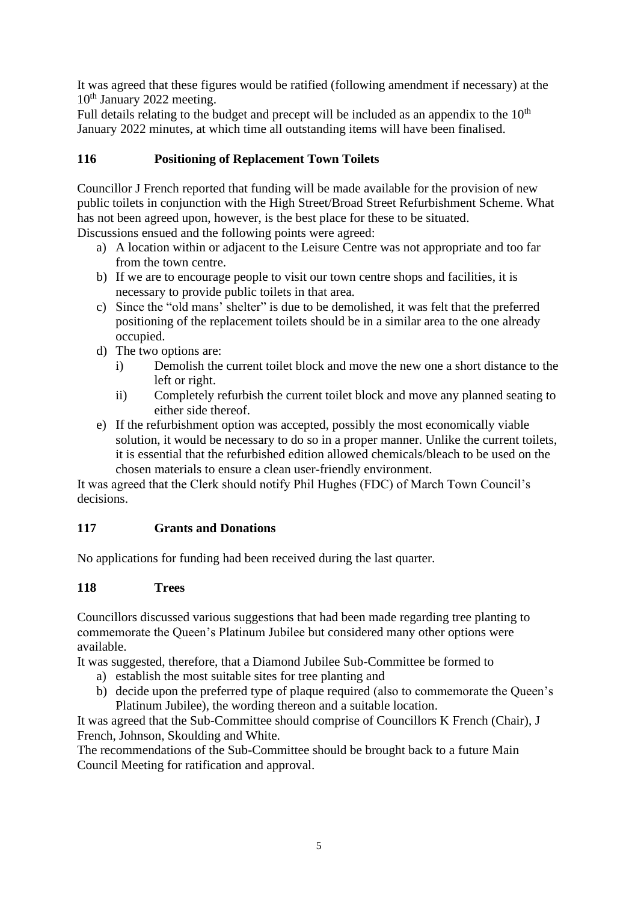It was agreed that these figures would be ratified (following amendment if necessary) at the 10<sup>th</sup> January 2022 meeting.

Full details relating to the budget and precept will be included as an appendix to the  $10<sup>th</sup>$ January 2022 minutes, at which time all outstanding items will have been finalised.

# **116 Positioning of Replacement Town Toilets**

Councillor J French reported that funding will be made available for the provision of new public toilets in conjunction with the High Street/Broad Street Refurbishment Scheme. What has not been agreed upon, however, is the best place for these to be situated. Discussions ensued and the following points were agreed:

- a) A location within or adjacent to the Leisure Centre was not appropriate and too far from the town centre.
- b) If we are to encourage people to visit our town centre shops and facilities, it is necessary to provide public toilets in that area.
- c) Since the "old mans' shelter" is due to be demolished, it was felt that the preferred positioning of the replacement toilets should be in a similar area to the one already occupied.
- d) The two options are:
	- i) Demolish the current toilet block and move the new one a short distance to the left or right.
	- ii) Completely refurbish the current toilet block and move any planned seating to either side thereof.
- e) If the refurbishment option was accepted, possibly the most economically viable solution, it would be necessary to do so in a proper manner. Unlike the current toilets, it is essential that the refurbished edition allowed chemicals/bleach to be used on the chosen materials to ensure a clean user-friendly environment.

It was agreed that the Clerk should notify Phil Hughes (FDC) of March Town Council's decisions.

# **117 Grants and Donations**

No applications for funding had been received during the last quarter.

### **118 Trees**

Councillors discussed various suggestions that had been made regarding tree planting to commemorate the Queen's Platinum Jubilee but considered many other options were available.

It was suggested, therefore, that a Diamond Jubilee Sub-Committee be formed to

- a) establish the most suitable sites for tree planting and
- b) decide upon the preferred type of plaque required (also to commemorate the Queen's Platinum Jubilee), the wording thereon and a suitable location.

It was agreed that the Sub-Committee should comprise of Councillors K French (Chair), J French, Johnson, Skoulding and White.

The recommendations of the Sub-Committee should be brought back to a future Main Council Meeting for ratification and approval.